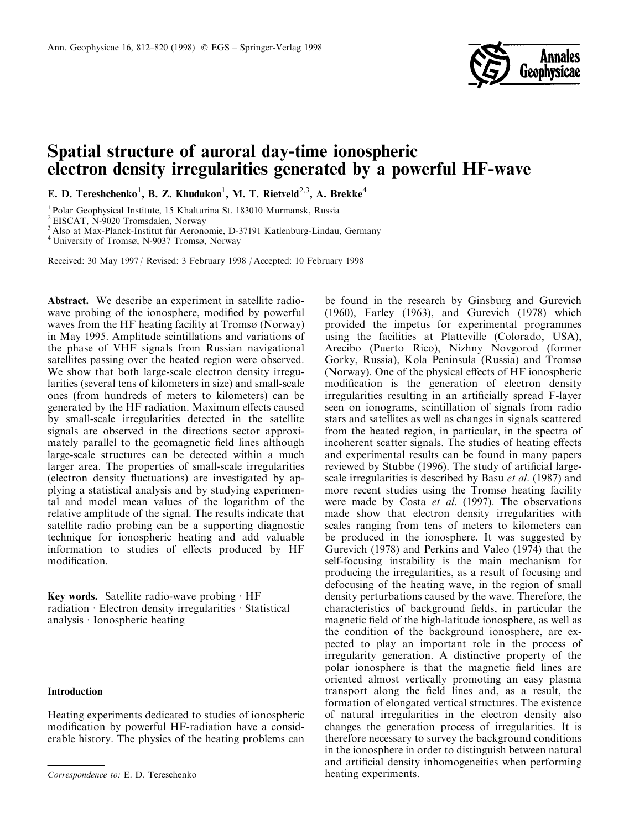

# Spatial structure of auroral day-time ionospheric electron density irregularities generated by a powerful HF-wave

E. D. Tereshchenko<sup>1</sup>, B. Z. Khudukon<sup>1</sup>, M. T. Rietveld<sup>2,3</sup>, A. Brekke<sup>4</sup>

<sup>1</sup> Polar Geophysical Institute, 15 Khalturina St. 183010 Murmansk, Russia

2EISCAT, N-9020 Tromsdalen, Norway

<sup>3</sup> Also at Max-Planck-Institut für Aeronomie, D-37191 Katlenburg-Lindau, Germany <sup>4</sup> University of Tromsø, N-9037 Tromsø, Norway

Received: 30 May 1997 / Revised: 3 February 1998 / Accepted: 10 February 1998

Abstract. We describe an experiment in satellite radiowave probing of the ionosphere, modified by powerful waves from the HF heating facility at Tromsø (Norway) in May 1995. Amplitude scintillations and variations of the phase of VHF signals from Russian navigational satellites passing over the heated region were observed. We show that both large-scale electron density irregularities (several tens of kilometers in size) and small-scale ones (from hundreds of meters to kilometers) can be generated by the HF radiation. Maximum effects caused by small-scale irregularities detected in the satellite signals are observed in the directions sector approximately parallel to the geomagnetic field lines although large-scale structures can be detected within a much larger area. The properties of small-scale irregularities (electron density fluctuations) are investigated by applying a statistical analysis and by studying experimental and model mean values of the logarithm of the relative amplitude of the signal. The results indicate that satellite radio probing can be a supporting diagnostic technique for ionospheric heating and add valuable information to studies of effects produced by HF modification.

Key words. Satellite radio-wave probing  $\cdot$  HF radiation  $\cdot$  Electron density irregularities  $\cdot$  Statistical analysis  $\cdot$  Ionospheric heating

## Introduction

Heating experiments dedicated to studies of ionospheric modification by powerful HF-radiation have a considerable history. The physics of the heating problems can

be found in the research by Ginsburg and Gurevich (1960), Farley (1963), and Gurevich (1978) which provided the impetus for experimental programmes using the facilities at Platteville (Colorado, USA), Arecibo (Puerto Rico), Nizhny Novgorod (former Gorky, Russia), Kola Peninsula (Russia) and Tromsø (Norway). One of the physical effects of HF ionospheric modification is the generation of electron density irregularities resulting in an artificially spread F-layer seen on ionograms, scintillation of signals from radio stars and satellites as well as changes in signals scattered from the heated region, in particular, in the spectra of incoherent scatter signals. The studies of heating effects and experimental results can be found in many papers reviewed by Stubbe (1996). The study of artificial largescale irregularities is described by Basu et al. (1987) and more recent studies using the  $T$ romsø heating facility were made by Costa et al. (1997). The observations made show that electron density irregularities with scales ranging from tens of meters to kilometers can be produced in the ionosphere. It was suggested by Gurevich (1978) and Perkins and Valeo (1974) that the self-focusing instability is the main mechanism for producing the irregularities, as a result of focusing and defocusing of the heating wave, in the region of small density perturbations caused by the wave. Therefore, the characteristics of background fields, in particular the magnetic field of the high-latitude ionosphere, as well as the condition of the background ionosphere, are expected to play an important role in the process of irregularity generation. A distinctive property of the polar ionosphere is that the magnetic field lines are oriented almost vertically promoting an easy plasma transport along the field lines and, as a result, the formation of elongated vertical structures. The existence of natural irregularities in the electron density also changes the generation process of irregularities. It is therefore necessary to survey the background conditions in the ionosphere in order to distinguish between natural and artificial density inhomogeneities when performing

Correspondence to: E. D. Tereschenko heating experiments.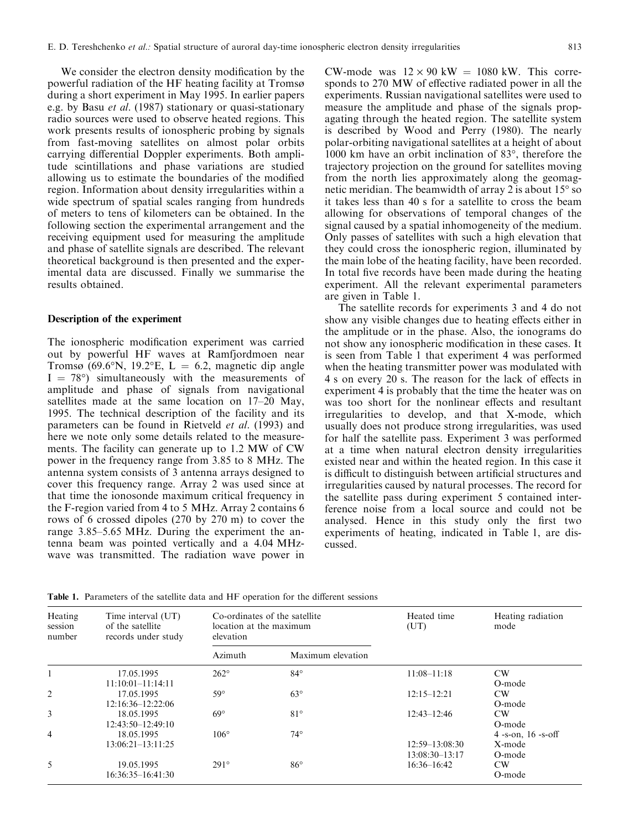We consider the electron density modification by the powerful radiation of the HF heating facility at Tromsø during a short experiment in May 1995. In earlier papers e.g. by Basu et al. (1987) stationary or quasi-stationary radio sources were used to observe heated regions. This work presents results of ionospheric probing by signals from fast-moving satellites on almost polar orbits carrying differential Doppler experiments. Both amplitude scintillations and phase variations are studied allowing us to estimate the boundaries of the modified region. Information about density irregularities within a wide spectrum of spatial scales ranging from hundreds of meters to tens of kilometers can be obtained. In the following section the experimental arrangement and the receiving equipment used for measuring the amplitude and phase of satellite signals are described. The relevant theoretical background is then presented and the experimental data are discussed. Finally we summarise the results obtained.

#### Description of the experiment

The ionospheric modification experiment was carried out by powerful HF waves at Ramfjordmoen near Tromsø (69.6°N, 19.2°E, L = 6.2, magnetic dip angle  $I = 78^{\circ}$  simultaneously with the measurements of amplitude and phase of signals from navigational satellites made at the same location on  $17-20$  May, 1995. The technical description of the facility and its parameters can be found in Rietveld et al. (1993) and here we note only some details related to the measurements. The facility can generate up to 1.2 MW of CW power in the frequency range from 3.85 to 8 MHz. The antenna system consists of 3 antenna arrays designed to cover this frequency range. Array 2 was used since at that time the ionosonde maximum critical frequency in the F-region varied from 4 to 5 MHz. Array 2 contains 6 rows of 6 crossed dipoles (270 by 270 m) to cover the range 3.85–5.65 MHz. During the experiment the antenna beam was pointed vertically and a 4.04 MHzwave was transmitted. The radiation wave power in

CW-mode was  $12 \times 90 \text{ kW} = 1080 \text{ kW}$ . This corresponds to 270 MW of effective radiated power in all the experiments. Russian navigational satellites were used to measure the amplitude and phase of the signals propagating through the heated region. The satellite system is described by Wood and Perry (1980). The nearly polar-orbiting navigational satellites at a height of about 1000 km have an orbit inclination of 83°, therefore the trajectory projection on the ground for satellites moving from the north lies approximately along the geomagnetic meridian. The beamwidth of array 2 is about 15° so it takes less than 40 s for a satellite to cross the beam allowing for observations of temporal changes of the signal caused by a spatial inhomogeneity of the medium. Only passes of satellites with such a high elevation that they could cross the ionospheric region, illuminated by the main lobe of the heating facility, have been recorded. In total five records have been made during the heating experiment. All the relevant experimental parameters are given in Table 1.

The satellite records for experiments 3 and 4 do not show any visible changes due to heating effects either in the amplitude or in the phase. Also, the ionograms do not show any ionospheric modification in these cases. It is seen from Table 1 that experiment 4 was performed when the heating transmitter power was modulated with 4 s on every 20 s. The reason for the lack of effects in experiment 4 is probably that the time the heater was on was too short for the nonlinear effects and resultant irregularities to develop, and that X-mode, which usually does not produce strong irregularities, was used for half the satellite pass. Experiment 3 was performed at a time when natural electron density irregularities existed near and within the heated region. In this case it is difficult to distinguish between artificial structures and irregularities caused by natural processes. The record for the satellite pass during experiment 5 contained interference noise from a local source and could not be analysed. Hence in this study only the first two experiments of heating, indicated in Table 1, are discussed.

Table 1. Parameters of the satellite data and HF operation for the different sessions

| Heating<br>session<br>number | Time interval (UT)<br>of the satellite<br>records under study | Co-ordinates of the satellite<br>location at the maximum<br>elevation |                   | Heated time<br>(UT)                    | Heating radiation<br>mode                  |
|------------------------------|---------------------------------------------------------------|-----------------------------------------------------------------------|-------------------|----------------------------------------|--------------------------------------------|
|                              |                                                               | Azimuth                                                               | Maximum elevation |                                        |                                            |
|                              | 17.05.1995<br>$11:10:01-11:14:11$                             | $262^\circ$                                                           | $84^\circ$        | $11:08 - 11:18$                        | <b>CW</b><br>O-mode                        |
| 2                            | 17.05.1995<br>12:16:36-12:22:06                               | $59^\circ$                                                            | $63^\circ$        | $12:15 - 12:21$                        | <b>CW</b><br>O-mode                        |
| 3                            | 18.05.1995<br>12:43:50-12:49:10                               | $69^\circ$                                                            | $81^\circ$        | $12:43 - 12:46$                        | CW<br>O-mode                               |
| $\overline{4}$               | 18.05.1995<br>13:06:21-13:11:25                               | $106^\circ$                                                           | $74^{\circ}$      | $12:59 - 13:08:30$<br>$13:08:30-13:17$ | $4$ -s-on, $16$ -s-off<br>X-mode<br>O-mode |
| 5                            | 19.05.1995<br>16:36:35-16:41:30                               | $291^\circ$                                                           | $86^{\circ}$      | $16:36 - 16:42$                        | <b>CW</b><br>O-mode                        |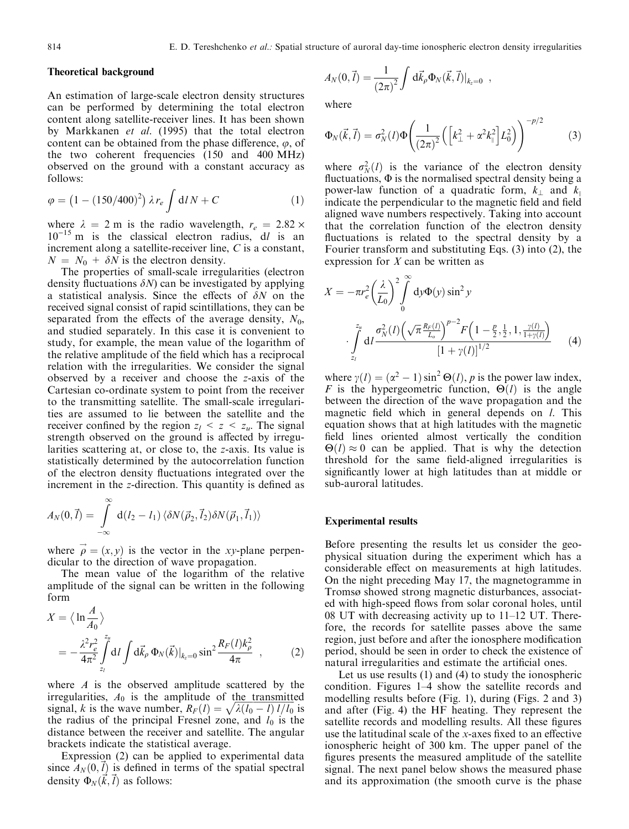#### Theoretical background

An estimation of large-scale electron density structures can be performed by determining the total electron content along satellite-receiver lines. It has been shown by Markkanen et al. (1995) that the total electron content can be obtained from the phase difference,  $\varphi$ , of the two coherent frequencies (150 and 400 MHz) observed on the ground with a constant accuracy as follows:

$$
\varphi = (1 - (150/400)^2) \lambda r_e \int dI N + C \tag{1}
$$

where  $\lambda = 2$  m is the radio wavelength,  $r_e = 2.82 \times$  $10^{-15}$  m is the classical electron radius, dl is an increment along a satellite-receiver line, C is a constant,  $N = N_0 + \delta N$  is the electron density.

The properties of small-scale irregularities (electron density fluctuations  $\delta N$  can be investigated by applying a statistical analysis. Since the effects of  $\delta N$  on the received signal consist of rapid scintillations, they can be separated from the effects of the average density,  $N_0$ , and studied separately. In this case it is convenient to study, for example, the mean value of the logarithm of the relative amplitude of the field which has a reciprocal relation with the irregularities. We consider the signal observed by a receiver and choose the z-axis of the Cartesian co-ordinate system to point from the receiver to the transmitting satellite. The small-scale irregularities are assumed to lie between the satellite and the receiver confined by the region  $z_l \leq z \leq z_u$ . The signal strength observed on the ground is affected by irregularities scattering at, or close to, the z-axis. Its value is statistically determined by the autocorrelation function of the electron density fluctuations integrated over the increment in the z-direction. This quantity is defined as

$$
A_N(0, \vec{I}) = \int_{-\infty}^{\infty} d(I_2 - I_1) \langle \delta N(\vec{\rho}_2, \vec{I}_2) \delta N(\vec{\rho}_1, \vec{I}_1) \rangle
$$

where  $\vec{\rho} = (x, y)$  is the vector in the xy-plane perpendicular to the direction of wave propagation.

The mean value of the logarithm of the relative amplitude of the signal can be written in the following form

$$
X = \left\langle \ln \frac{A}{A_0} \right\rangle
$$
  
=  $-\frac{\lambda^2 r_e^2}{4\pi^2} \int_{z_l}^{z_u} d l \int d\vec{k}_{\rho} \Phi_N(\vec{k})|_{k_z=0} \sin^2 \frac{R_F(l)k_{\rho}^2}{4\pi}$ , (2)

where A is the observed amplitude scattered by the irregularities,  $A_0$  is the amplitude of the transmitted signal, k is the wave number,  $R_F(l) = \sqrt{\lambda (l_0 - l) l/l_0}$  is the radius of the principal Fresnel zone, and  $l_0$  is the distance between the receiver and satellite. The angular brackets indicate the statistical average.

Expression (2) can be applied to experimental data since  $A_N(0, l)$  is defined in terms of the spatial spectral density  $\Phi_N(\vec{k}, \vec{l})$  as follows:

$$
A_N(0,\vec{l}) = \frac{1}{(2\pi)^2} \int \, \mathrm{d}\vec{k}_{\rho} \Phi_N(\vec{k},\vec{l})|_{k_z=0} \; ,
$$

where

$$
\Phi_N(\vec{k}, \vec{l}) = \sigma_N^2(l) \Phi\left(\frac{1}{(2\pi)^2} \left( \left[k_\perp^2 + \alpha^2 k_\parallel^2 \right] L_0^2 \right) \right)^{-p/2} \tag{3}
$$

where  $\sigma_N^2(l)$  is the variance of the electron density fluctuations,  $\Phi$  is the normalised spectral density being a power-law function of a quadratic form,  $k_{\perp}$  and  $k_{\parallel}$ indicate the perpendicular to the magnetic field and field aligned wave numbers respectively. Taking into account that the correlation function of the electron density fluctuations is related to the spectral density by a Fourier transform and substituting Eqs. (3) into (2), the expression for  $X$  can be written as

$$
X = -\pi r_e^2 \left(\frac{\lambda}{L_0}\right)^2 \int_0^{\infty} dy \Phi(y) \sin^2 y
$$

$$
\int_{z_l}^{z_u} dI \frac{\sigma_N^2(l) \left(\sqrt{\pi} \frac{R_F(l)}{L_o}\right)^{p-2} F\left(1 - \frac{p}{2}, \frac{1}{2}, 1, \frac{\gamma(l)}{1 + \gamma(l)}\right)}{[1 + \gamma(l)]^{1/2}} \tag{4}
$$

where  $\gamma(l) = (\alpha^2 - 1)\sin^2 \Theta(l)$ , p is the power law index, F is the hypergeometric function,  $\Theta(l)$  is the angle between the direction of the wave propagation and the magnetic field which in general depends on *. This* equation shows that at high latitudes with the magnetic field lines oriented almost vertically the condition  $\Theta(l) \approx 0$  can be applied. That is why the detection threshold for the same field-aligned irregularities is significantly lower at high latitudes than at middle or sub-auroral latitudes.

#### Experimental results

Before presenting the results let us consider the geophysical situation during the experiment which has a considerable effect on measurements at high latitudes. On the night preceding May 17, the magnetogramme in Tromsø showed strong magnetic disturbances, associated with high-speed flows from solar coronal holes, until 08 UT with decreasing activity up to  $11-12$  UT. Therefore, the records for satellite passes above the same region, just before and after the ionosphere modification period, should be seen in order to check the existence of natural irregularities and estimate the artificial ones.

Let us use results (1) and (4) to study the ionospheric condition. Figures 1-4 show the satellite records and modelling results before (Fig. 1), during (Figs. 2 and 3) and after (Fig. 4) the HF heating. They represent the satellite records and modelling results. All these figures use the latitudinal scale of the  $x$ -axes fixed to an effective ionospheric height of 300 km. The upper panel of the figures presents the measured amplitude of the satellite signal. The next panel below shows the measured phase and its approximation (the smooth curve is the phase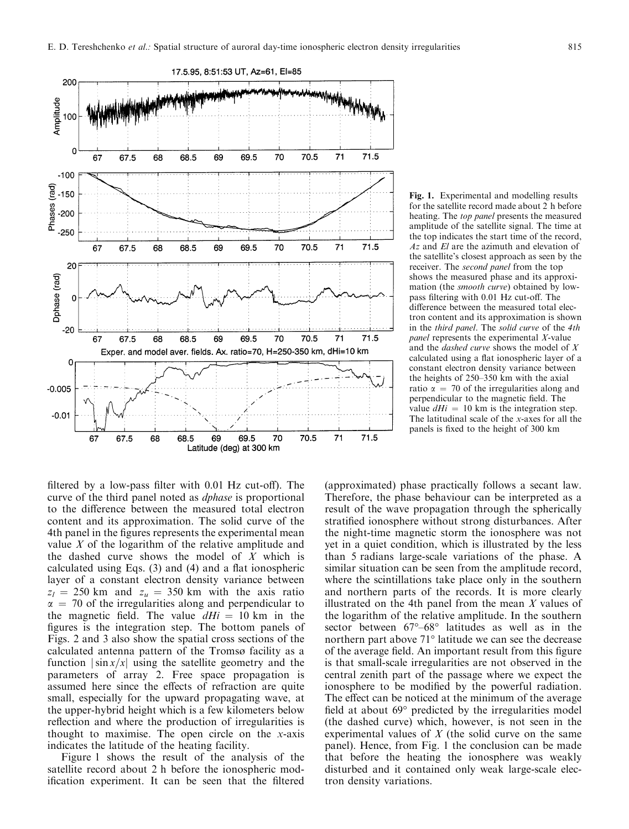

Fig. 1. Experimental and modelling results for the satellite record made about 2 h before heating. The top panel presents the measured amplitude of the satellite signal. The time at the top indicates the start time of the record, Az and El are the azimuth and elevation of the satellite's closest approach as seen by the receiver. The *second panel* from the top shows the measured phase and its approximation (the smooth curve) obtained by lowpass filtering with 0.01 Hz cut-off. The difference between the measured total electron content and its approximation is shown in the third panel. The solid curve of the 4th panel represents the experimental X-value and the dashed curve shows the model of X calculated using a flat ionospheric layer of a constant electron density variance between the heights of  $250-350$  km with the axial ratio  $\alpha = 70$  of the irregularities along and perpendicular to the magnetic field. The value  $dHi = 10$  km is the integration step. The latitudinal scale of the x-axes for all the panels is fixed to the height of 300 km

filtered by a low-pass filter with  $0.01$  Hz cut-off). The curve of the third panel noted as dphase is proportional to the difference between the measured total electron content and its approximation. The solid curve of the 4th panel in the figures represents the experimental mean value  $X$  of the logarithm of the relative amplitude and the dashed curve shows the model of  $X$  which is calculated using Eqs.  $(3)$  and  $(4)$  and a flat ionospheric layer of a constant electron density variance between  $z_l = 250$  km and  $z_u = 350$  km with the axis ratio  $\alpha$  = 70 of the irregularities along and perpendicular to the magnetic field. The value  $dHi = 10$  km in the figures is the integration step. The bottom panels of Figs. 2 and 3 also show the spatial cross sections of the calculated antenna pattern of the Tromsø facility as a function  $|\sin x/x|$  using the satellite geometry and the parameters of array 2. Free space propagation is assumed here since the effects of refraction are quite small, especially for the upward propagating wave, at the upper-hybrid height which is a few kilometers below reflection and where the production of irregularities is thought to maximise. The open circle on the  $x$ -axis indicates the latitude of the heating facility.

Figure 1 shows the result of the analysis of the satellite record about 2 h before the ionospheric modification experiment. It can be seen that the filtered

(approximated) phase practically follows a secant law. Therefore, the phase behaviour can be interpreted as a result of the wave propagation through the spherically stratified ionosphere without strong disturbances. After the night-time magnetic storm the ionosphere was not yet in a quiet condition, which is illustrated by the less than 5 radians large-scale variations of the phase. A similar situation can be seen from the amplitude record, where the scintillations take place only in the southern and northern parts of the records. It is more clearly illustrated on the 4th panel from the mean  $X$  values of the logarithm of the relative amplitude. In the southern sector between  $67^{\circ}-68^{\circ}$  latitudes as well as in the northern part above 71° latitude we can see the decrease of the average field. An important result from this figure is that small-scale irregularities are not observed in the central zenith part of the passage where we expect the ionosphere to be modified by the powerful radiation. The effect can be noticed at the minimum of the average field at about  $69^{\circ}$  predicted by the irregularities model (the dashed curve) which, however, is not seen in the experimental values of  $X$  (the solid curve on the same panel). Hence, from Fig. 1 the conclusion can be made that before the heating the ionosphere was weakly disturbed and it contained only weak large-scale electron density variations.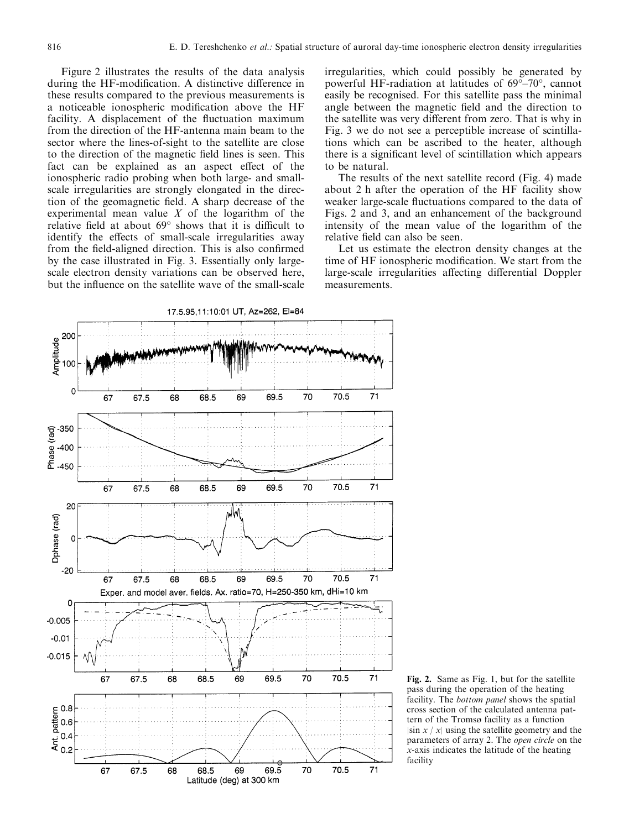Figure 2 illustrates the results of the data analysis during the HF-modification. A distinctive difference in these results compared to the previous measurements is a noticeable ionospheric modification above the HF facility. A displacement of the fluctuation maximum from the direction of the HF-antenna main beam to the sector where the lines-of-sight to the satellite are close to the direction of the magnetic field lines is seen. This fact can be explained as an aspect effect of the ionospheric radio probing when both large- and smallscale irregularities are strongly elongated in the direction of the geomagnetic field. A sharp decrease of the experimental mean value  $X$  of the logarithm of the relative field at about  $69^{\circ}$  shows that it is difficult to identify the effects of small-scale irregularities away from the field-aligned direction. This is also confirmed by the case illustrated in Fig. 3. Essentially only largescale electron density variations can be observed here, but the influence on the satellite wave of the small-scale

irregularities, which could possibly be generated by powerful HF-radiation at latitudes of  $69^{\circ}-70^{\circ}$ , cannot easily be recognised. For this satellite pass the minimal angle between the magnetic field and the direction to the satellite was very different from zero. That is why in Fig. 3 we do not see a perceptible increase of scintillations which can be ascribed to the heater, although there is a significant level of scintillation which appears to be natural.

The results of the next satellite record (Fig. 4) made about 2 h after the operation of the HF facility show weaker large-scale fluctuations compared to the data of Figs. 2 and 3, and an enhancement of the background intensity of the mean value of the logarithm of the relative field can also be seen.

Let us estimate the electron density changes at the time of HF ionospheric modification. We start from the large-scale irregularities affecting differential Doppler measurements.



Fig. 2. Same as Fig. 1, but for the satellite pass during the operation of the heating facility. The bottom panel shows the spatial cross section of the calculated antenna pattern of the Tromsø facility as a function  $|\sin x / x|$  using the satellite geometry and the parameters of array 2. The open circle on the x-axis indicates the latitude of the heating facility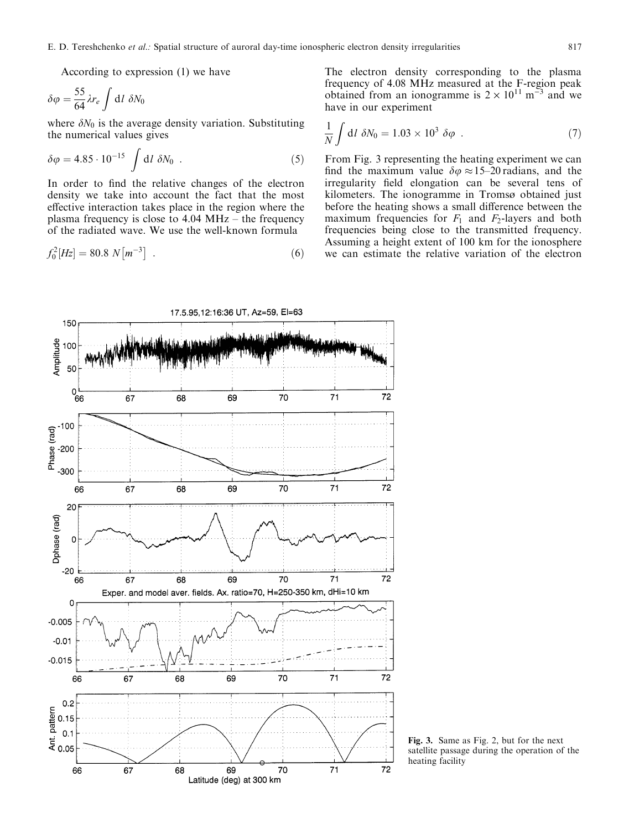According to expression (1) we have

$$
\delta \varphi = \frac{55}{64} \lambda r_e \int \mathrm{d} l \, \delta N_0
$$

where  $\delta N_0$  is the average density variation. Substituting the numerical values gives

$$
\delta \varphi = 4.85 \cdot 10^{-15} \int \mathrm{d}l \ \delta N_0 \ . \tag{5}
$$

In order to find the relative changes of the electron density we take into account the fact that the most effective interaction takes place in the region where the plasma frequency is close to  $4.04$  MHz – the frequency of the radiated wave. We use the well-known formula

$$
f_0^2[Hz] = 80.8 \ N[m^{-3}] \ . \tag{6}
$$

The electron density corresponding to the plasma frequency of 4.08 MHz measured at the F-region peak obtained from an ionogramme is  $2 \times 10^{11}$  m<sup>-3</sup> and we have in our experiment

$$
\frac{1}{N} \int \mathrm{d}l \ \delta N_0 = 1.03 \times 10^3 \ \delta \varphi \ . \tag{7}
$$

From Fig. 3 representing the heating experiment we can find the maximum value  $\delta \varphi \approx 15-20$  radians, and the irregularity field elongation can be several tens of kilometers. The ionogramme in Tromsø obtained just before the heating shows a small difference between the maximum frequencies for  $F_1$  and  $F_2$ -layers and both frequencies being close to the transmitted frequency. Assuming a height extent of 100 km for the ionosphere we can estimate the relative variation of the electron



Fig. 3. Same as Fig. 2, but for the next satellite passage during the operation of the heating facility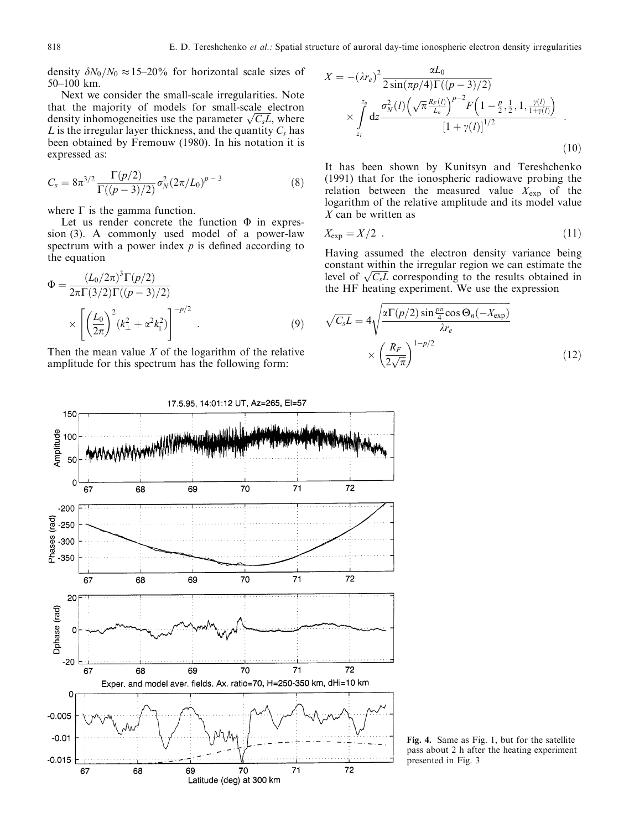density  $\delta N_0/N_0 \approx 15-20\%$  for horizontal scale sizes of  $50-100$  km.

Next we consider the small-scale irregularities. Note that the majority of models for small-scale electron density inhomogeneities use the parameter  $\sqrt{C_sL}$ , where  $L$  is the irregular layer thickness, and the quantity  $C_s$  has been obtained by Fremouw (1980). In his notation it is expressed as:

$$
C_s = 8\pi^{3/2} \frac{\Gamma(p/2)}{\Gamma((p-3)/2)} \sigma_N^2 (2\pi/L_0)^{p-3}
$$
 (8)

where  $\Gamma$  is the gamma function.

Let us render concrete the function  $\Phi$  in expression (3). A commonly used model of a power-law spectrum with a power index  $p$  is defined according to the equation

$$
\Phi = \frac{(L_0/2\pi)^3 \Gamma(p/2)}{2\pi \Gamma(3/2) \Gamma((p-3)/2)}
$$
  
 
$$
\times \left[ \left( \frac{L_0}{2\pi} \right)^2 (k_\perp^2 + \alpha^2 k_\parallel^2) \right]^{-p/2} .
$$
 (9)

Then the mean value  $X$  of the logarithm of the relative amplitude for this spectrum has the following form:

$$
X = -(\lambda r_e)^2 \frac{\alpha L_0}{2 \sin(\pi p/4) \Gamma((p-3)/2)}
$$
  
 
$$
\times \int_{z_l}^{z_u} dz \frac{\sigma_N^2(l) \left(\sqrt{\pi} \frac{R_F(l)}{L_o}\right)^{p-2} F\left(1 - \frac{p}{2}, \frac{1}{2}, 1, \frac{\gamma(l)}{1 + \gamma(l)}\right)}{[1 + \gamma(l)]^{1/2}} .
$$
 (10)

It has been shown by Kunitsyn and Tereshchenko (1991) that for the ionospheric radiowave probing the relation between the measured value  $X_{\text{exp}}$  of the logarithm of the relative amplitude and its model value  $X$  can be written as

$$
X_{\exp} = X/2 \tag{11}
$$

Having assumed the electron density variance being constant within the irregular region we can estimate the level of  $\sqrt{C_sL}$  corresponding to the results obtained in the HF heating experiment. We use the expression

$$
\sqrt{C_s L} = 4 \sqrt{\frac{\alpha \Gamma(p/2) \sin \frac{p\pi}{4} \cos \Theta_n(-X_{\exp})}{\lambda r_e}}
$$

$$
\times \left(\frac{R_F}{2\sqrt{\pi}}\right)^{1-p/2}
$$
(12)



Fig. 4. Same as Fig. 1, but for the satellite pass about 2 h after the heating experiment presented in Fig. 3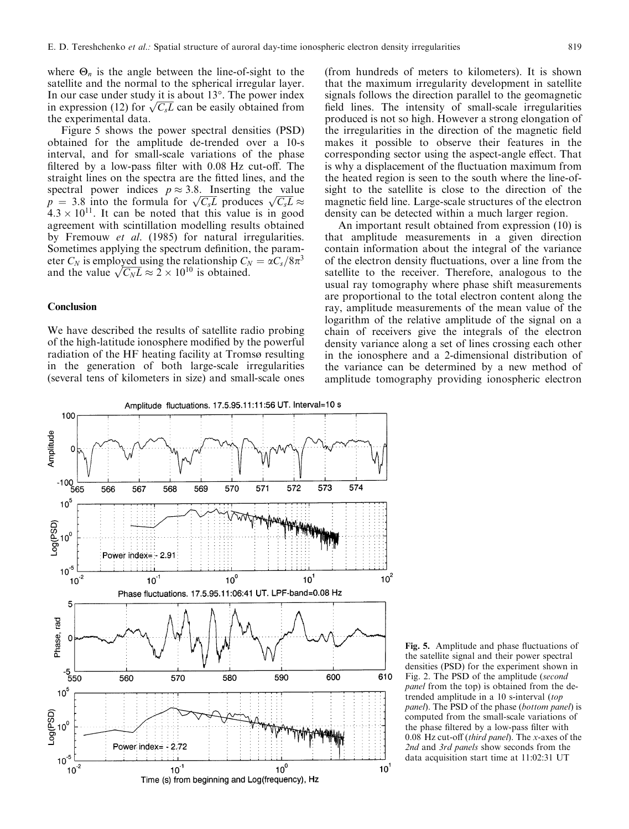where  $\Theta_n$  is the angle between the line-of-sight to the satellite and the normal to the spherical irregular layer. In our case under study it is about 13°. The power index in expression (12) for  $\sqrt{C_sL}$  can be easily obtained from the experimental data.

Figure 5 shows the power spectral densities (PSD) obtained for the amplitude de-trended over a 10-s interval, and for small-scale variations of the phase filtered by a low-pass filter with  $0.08$  Hz cut-off. The straight lines on the spectra are the fitted lines, and the spectral power indices  $p \approx 3.8$ . Inserting the value  $p = 3.8$  into the formula for  $\sqrt{C_sL}$  produces  $\sqrt{C_sL} \approx$  $4.3 \times 10^{11}$ . It can be noted that this value is in good agreement with scintillation modelling results obtained by Fremouw et al. (1985) for natural irregularities. Sometimes applying the spectrum definition, the parameter  $C_N$  is employed using the relationship  $C_N = \alpha C_s/8\pi^3$ and the value  $\sqrt{C_N L} \approx 2 \times 10^{10}$  is obtained.

### Conclusion

We have described the results of satellite radio probing of the high-latitude ionosphere modified by the powerful radiation of the HF heating facility at Tromsø resulting in the generation of both large-scale irregularities (several tens of kilometers in size) and small-scale ones (from hundreds of meters to kilometers). It is shown that the maximum irregularity development in satellite signals follows the direction parallel to the geomagnetic field lines. The intensity of small-scale irregularities produced is not so high. However a strong elongation of the irregularities in the direction of the magnetic field makes it possible to observe their features in the corresponding sector using the aspect-angle effect. That is why a displacement of the fluctuation maximum from the heated region is seen to the south where the line-ofsight to the satellite is close to the direction of the magnetic field line. Large-scale structures of the electron density can be detected within a much larger region.

An important result obtained from expression (10) is that amplitude measurements in a given direction contain information about the integral of the variance of the electron density fluctuations, over a line from the satellite to the receiver. Therefore, analogous to the usual ray tomography where phase shift measurements are proportional to the total electron content along the ray, amplitude measurements of the mean value of the logarithm of the relative amplitude of the signal on a chain of receivers give the integrals of the electron density variance along a set of lines crossing each other in the ionosphere and a 2-dimensional distribution of the variance can be determined by a new method of amplitude tomography providing ionospheric electron



Fig. 5. Amplitude and phase fluctuations of the satellite signal and their power spectral densities (PSD) for the experiment shown in Fig. 2. The PSD of the amplitude (second panel from the top) is obtained from the detrended amplitude in a 10 s-interval (top panel). The PSD of the phase (bottom panel) is computed from the small-scale variations of the phase filtered by a low-pass filter with 0.08 Hz cut-off (third panel). The x-axes of the 2nd and 3rd panels show seconds from the data acquisition start time at 11:02:31 UT